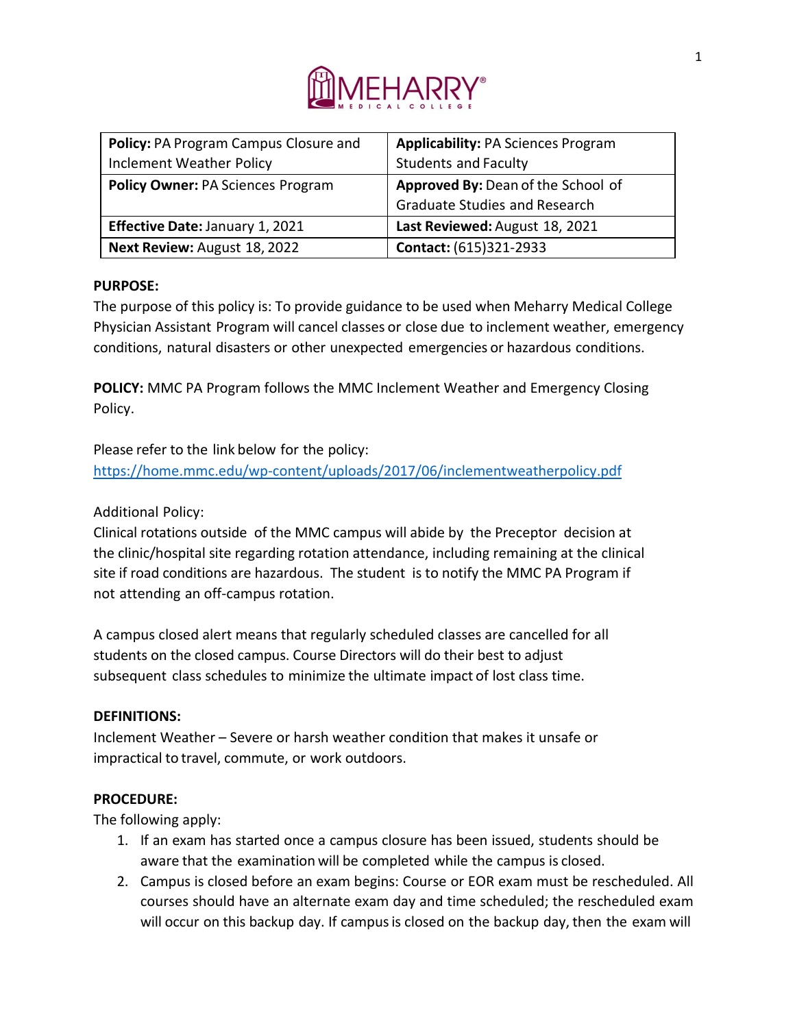

| Policy: PA Program Campus Closure and    | <b>Applicability: PA Sciences Program</b> |
|------------------------------------------|-------------------------------------------|
| <b>Inclement Weather Policy</b>          | <b>Students and Faculty</b>               |
| <b>Policy Owner: PA Sciences Program</b> | Approved By: Dean of the School of        |
|                                          | <b>Graduate Studies and Research</b>      |
| <b>Effective Date: January 1, 2021</b>   | Last Reviewed: August 18, 2021            |
| Next Review: August 18, 2022             | Contact: (615)321-2933                    |

## **PURPOSE:**

The purpose of this policy is: To provide guidance to be used when Meharry Medical College Physician Assistant Program will cancel classes or close due to inclement weather, emergency conditions, natural disasters or other unexpected emergencies or hazardous conditions.

**POLICY:** MMC PA Program follows the MMC Inclement Weather and Emergency Closing Policy.

Please refer to the link below for the policy: <https://home.mmc.edu/wp-content/uploads/2017/06/inclementweatherpolicy.pdf>

## Additional Policy:

Clinical rotations outside of the MMC campus will abide by the Preceptor decision at the clinic/hospital site regarding rotation attendance, including remaining at the clinical site if road conditions are hazardous. The student is to notify the MMC PA Program if not attending an off-campus rotation.

A campus closed alert means that regularly scheduled classes are cancelled for all students on the closed campus. Course Directors will do their best to adjust subsequent class schedules to minimize the ultimate impact of lost class time.

## **DEFINITIONS:**

Inclement Weather – Severe or harsh weather condition that makes it unsafe or impractical to travel, commute, or work outdoors.

## **PROCEDURE:**

The following apply:

- 1. If an exam has started once a campus closure has been issued, students should be aware that the examination will be completed while the campus is closed.
- 2. Campus is closed before an exam begins: Course or EOR exam must be rescheduled. All courses should have an alternate exam day and time scheduled; the rescheduled exam will occur on this backup day. If campusis closed on the backup day, then the exam will